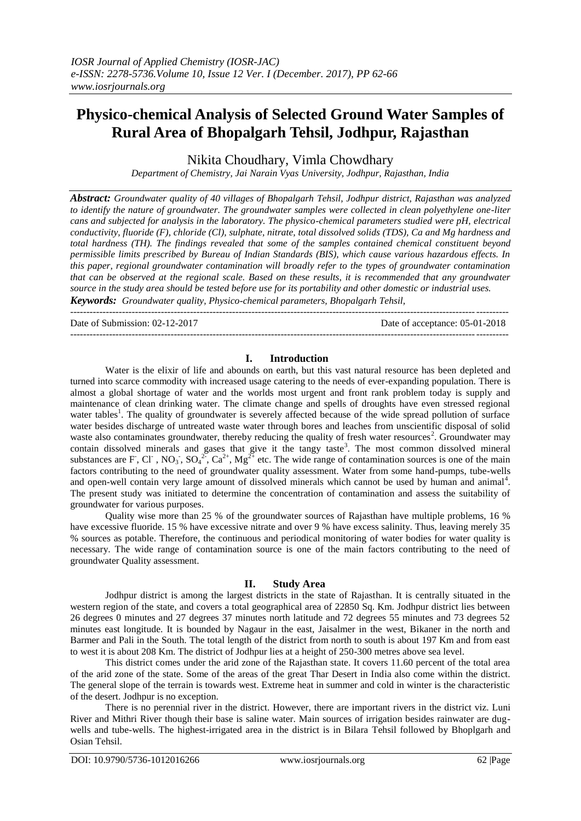# **Physico-chemical Analysis of Selected Ground Water Samples of Rural Area of Bhopalgarh Tehsil, Jodhpur, Rajasthan**

Nikita Choudhary, Vimla Chowdhary

*Department of Chemistry, Jai Narain Vyas University, Jodhpur, Rajasthan, India*

*Abstract: Groundwater quality of 40 villages of Bhopalgarh Tehsil, Jodhpur district, Rajasthan was analyzed to identify the nature of groundwater. The groundwater samples were collected in clean polyethylene one-liter cans and subjected for analysis in the laboratory. The physico-chemical parameters studied were pH, electrical conductivity, fluoride (F), chloride (Cl), sulphate, nitrate, total dissolved solids (TDS), Ca and Mg hardness and total hardness (TH). The findings revealed that some of the samples contained chemical constituent beyond permissible limits prescribed by Bureau of Indian Standards (BIS), which cause various hazardous effects. In this paper, regional groundwater contamination will broadly refer to the types of groundwater contamination that can be observed at the regional scale. Based on these results, it is recommended that any groundwater source in the study area should be tested before use for its portability and other domestic or industrial uses. Keywords: Groundwater quality, Physico-chemical parameters, Bhopalgarh Tehsil,*

--------------------------------------------------------------------------------------------------------------------------------------- Date of Submission: 02-12-2017 Date of acceptance: 05-01-2018 ---------------------------------------------------------------------------------------------------------------------------------------

### **I. Introduction**

Water is the elixir of life and abounds on earth, but this vast natural resource has been depleted and turned into scarce commodity with increased usage catering to the needs of ever-expanding population. There is almost a global shortage of water and the worlds most urgent and front rank problem today is supply and maintenance of clean drinking water. The climate change and spells of droughts have even stressed regional water tables<sup>1</sup>. The quality of groundwater is severely affected because of the wide spread pollution of surface water besides discharge of untreated waste water through bores and leaches from unscientific disposal of solid waste also contaminates groundwater, thereby reducing the quality of fresh water resources<sup>2</sup>. Groundwater may contain dissolved minerals and gases that give it the tangy taste<sup>3</sup>. The most common dissolved mineral substances are F, Cl<sup>-</sup>, NO<sub>3</sub><sup>-</sup>, SO<sub>4</sub><sup>2-</sup>, Ca<sup>2+</sup>, Mg<sup>2+</sup> etc. The wide range of contamination sources is one of the main factors contributing to the need of groundwater quality assessment. Water from some hand-pumps, tube-wells and open-well contain very large amount of dissolved minerals which cannot be used by human and animal<sup>4</sup>. The present study was initiated to determine the concentration of contamination and assess the suitability of groundwater for various purposes.

Quality wise more than 25 % of the groundwater sources of Rajasthan have multiple problems, 16 % have excessive fluoride. 15 % have excessive nitrate and over 9 % have excess salinity. Thus, leaving merely 35 % sources as potable. Therefore, the continuous and periodical monitoring of water bodies for water quality is necessary. The wide range of contamination source is one of the main factors contributing to the need of groundwater Quality assessment.

# **II. Study Area**

Jodhpur district is among the largest districts in the state of Rajasthan. It is centrally situated in the western region of the state, and covers a total geographical area of 22850 Sq. Km. Jodhpur district lies between 26 degrees 0 minutes and 27 degrees 37 minutes north latitude and 72 degrees 55 minutes and 73 degrees 52 minutes east longitude. It is bounded by Nagaur in the east, Jaisalmer in the west, Bikaner in the north and Barmer and Pali in the South. The total length of the district from north to south is about 197 Km and from east to west it is about 208 Km. The district of Jodhpur lies at a height of 250-300 metres above sea level.

This district comes under the arid zone of the Rajasthan state. It covers 11.60 percent of the total area of the arid zone of the state. Some of the areas of the great Thar Desert in India also come within the district. The general slope of the terrain is towards west. Extreme heat in summer and cold in winter is the characteristic of the desert. Jodhpur is no exception.

There is no perennial river in the district. However, there are important rivers in the district viz. Luni River and Mithri River though their base is saline water. Main sources of irrigation besides rainwater are dugwells and tube-wells. The highest-irrigated area in the district is in Bilara Tehsil followed by Bhoplgarh and Osian Tehsil.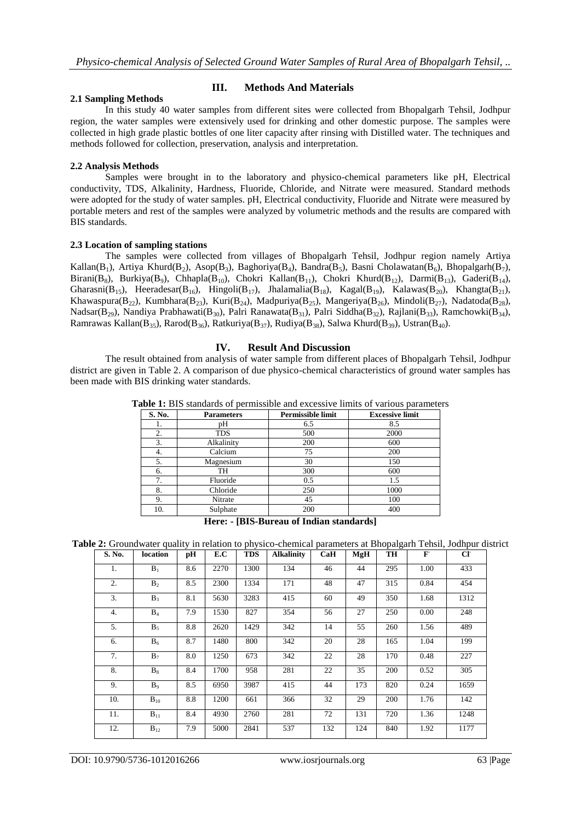# **III. Methods And Materials**

#### **2.1 Sampling Methods**

In this study 40 water samples from different sites were collected from Bhopalgarh Tehsil, Jodhpur region, the water samples were extensively used for drinking and other domestic purpose. The samples were collected in high grade plastic bottles of one liter capacity after rinsing with Distilled water. The techniques and methods followed for collection, preservation, analysis and interpretation.

#### **2.2 Analysis Methods**

Samples were brought in to the laboratory and physico-chemical parameters like pH, Electrical conductivity, TDS, Alkalinity, Hardness, Fluoride, Chloride, and Nitrate were measured. Standard methods were adopted for the study of water samples. pH, Electrical conductivity, Fluoride and Nitrate were measured by portable meters and rest of the samples were analyzed by volumetric methods and the results are compared with BIS standards.

#### **2.3 Location of sampling stations**

The samples were collected from villages of Bhopalgarh Tehsil, Jodhpur region namely Artiya Kallan(B<sub>1</sub>), Artiya Khurd(B<sub>2</sub>), Asop(B<sub>3</sub>), Baghoriya(B<sub>4</sub>), Bandra(B<sub>5</sub>), Basni Cholawatan(B<sub>6</sub>), Bhopalgarh(B<sub>7</sub>), Birani(B<sub>8</sub>), Burkiya(B<sub>9</sub>), Chhapla(B<sub>10</sub>), Chokri Kallan(B<sub>11</sub>), Chokri Khurd(B<sub>12</sub>), Darmi(B<sub>13</sub>), Gaderi(B<sub>14</sub>), Gharasni(B<sub>15</sub>), Heeradesar(B<sub>16</sub>), Hingoli(B<sub>17</sub>), Jhalamalia(B<sub>18</sub>), Kagal(B<sub>19</sub>), Kalawas(B<sub>20</sub>), Khangta(B<sub>21</sub>), Khawaspura(B<sub>22</sub>), Kumbhara(B<sub>23</sub>), Kuri(B<sub>24</sub>), Madpuriya(B<sub>25</sub>), Mangeriya(B<sub>26</sub>), Mindoli(B<sub>27</sub>), Nadatoda(B<sub>28</sub>), Nadsar(B<sub>29</sub>), Nandiya Prabhawati(B<sub>30</sub>), Palri Ranawata(B<sub>31</sub>), Palri Siddha(B<sub>32</sub>), Rajlani(B<sub>33</sub>), Ramchowki(B<sub>34</sub>), Ramrawas Kallan(B<sub>35</sub>), Rarod(B<sub>36</sub>), Ratkuriya(B<sub>37</sub>), Rudiya(B<sub>38</sub>), Salwa Khurd(B<sub>39</sub>), Ustran(B<sub>40</sub>).

### **IV. Result And Discussion**

The result obtained from analysis of water sample from different places of Bhopalgarh Tehsil, Jodhpur district are given in Table 2. A comparison of due physico-chemical characteristics of ground water samples has been made with BIS drinking water standards.

| S. No. | <b>Parameters</b> | Permissible limit | <b>Excessive limit</b> |
|--------|-------------------|-------------------|------------------------|
| ı.     | pН                | 6.5               | 8.5                    |
| 2.     | <b>TDS</b>        | 500               | 2000                   |
| 3.     | Alkalinity        | 200               | 600                    |
| 4.     | Calcium           | 75                | 200                    |
| 5.     | Magnesium         | 30                | 150                    |
| 6.     | TH                | 300               | 600                    |
| 7.     | Fluoride          | 0.5               | 1.5                    |
| 8.     | Chloride          | 250               | 1000                   |
| 9.     | Nitrate           | 45                | 100                    |
| 10.    | Sulphate          | 200               | 400                    |

**Table 1:** BIS standards of permissible and excessive limits of various parameters

**Here: - [BIS-Bureau of Indian standards]**

**Table 2:** Groundwater quality in relation to physico-chemical parameters at Bhopalgarh Tehsil, Jodhpur district

| S. No. | location       | рH  | E.C  | <b>TDS</b> | <b>Alkalinity</b> | CaH | <b>MgH</b> | TH  | $\mathbf{F}$ | CI   |
|--------|----------------|-----|------|------------|-------------------|-----|------------|-----|--------------|------|
| 1.     | $B_1$          | 8.6 | 2270 | 1300       | 134               | 46  | 44         | 295 | 1.00         | 433  |
| 2.     | B <sub>2</sub> | 8.5 | 2300 | 1334       | 171               | 48  | 47         | 315 | 0.84         | 454  |
| 3.     | $B_3$          | 8.1 | 5630 | 3283       | 415               | 60  | 49         | 350 | 1.68         | 1312 |
| 4.     | $B_4$          | 7.9 | 1530 | 827        | 354               | 56  | 27         | 250 | 0.00         | 248  |
| 5.     | $B_5$          | 8.8 | 2620 | 1429       | 342               | 14  | 55         | 260 | 1.56         | 489  |
| 6.     | $B_6$          | 8.7 | 1480 | 800        | 342               | 20  | 28         | 165 | 1.04         | 199  |
| 7.     | $B_7$          | 8.0 | 1250 | 673        | 342               | 22  | 28         | 170 | 0.48         | 227  |
| 8.     | $B_8$          | 8.4 | 1700 | 958        | 281               | 22  | 35         | 200 | 0.52         | 305  |
| 9.     | B <sub>9</sub> | 8.5 | 6950 | 3987       | 415               | 44  | 173        | 820 | 0.24         | 1659 |
| 10.    | $B_{10}$       | 8.8 | 1200 | 661        | 366               | 32  | 29         | 200 | 1.76         | 142  |
| 11.    | $B_{11}$       | 8.4 | 4930 | 2760       | 281               | 72  | 131        | 720 | 1.36         | 1248 |
| 12.    | $B_{12}$       | 7.9 | 5000 | 2841       | 537               | 132 | 124        | 840 | 1.92         | 1177 |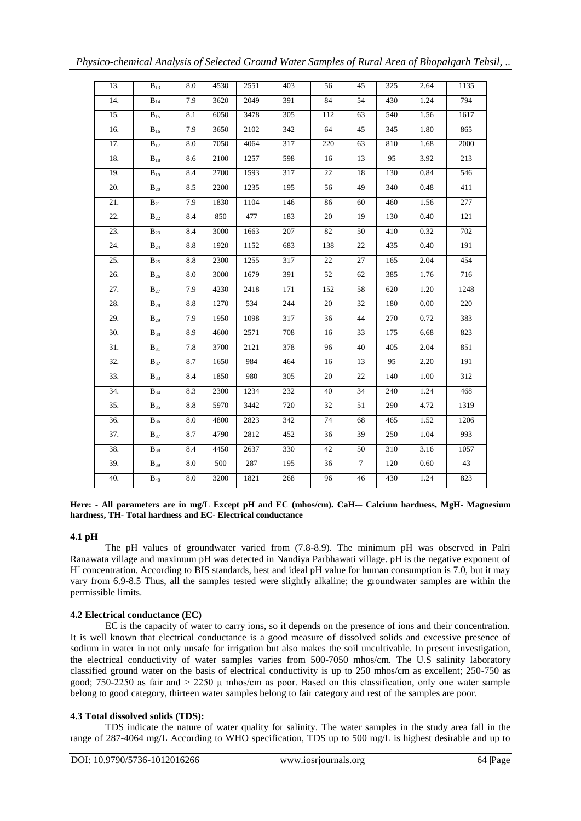| 13. | $B_{13}$                     | 8.0 | 4530 | 2551 | $\overline{403}$ | 56              | 45              | 325 | 2.64 | 1135        |
|-----|------------------------------|-----|------|------|------------------|-----------------|-----------------|-----|------|-------------|
| 14. | $\mathbf{B}_{14}$            | 7.9 | 3620 | 2049 | 391              | 84              | 54              | 430 | 1.24 | 794         |
| 15. | $B_{15}$                     | 8.1 | 6050 | 3478 | 305              | 112             | 63              | 540 | 1.56 | 1617        |
| 16. | $\overline{B}_{16}$          | 7.9 | 3650 | 2102 | 342              | 64              | 45              | 345 | 1.80 | 865         |
| 17. | $B_{17}$                     | 8.0 | 7050 | 4064 | 317              | 220             | 63              | 810 | 1.68 | 2000        |
| 18. | $\mathbf{B}_{18}$            | 8.6 | 2100 | 1257 | 598              | 16              | 13              | 95  | 3.92 | 213         |
| 19. | $B_{19}$                     | 8.4 | 2700 | 1593 | 317              | 22              | 18              | 130 | 0.84 | 546         |
| 20. | $B_{20}$                     | 8.5 | 2200 | 1235 | 195              | 56              | 49              | 340 | 0.48 | 411         |
| 21. | $B_{21}$                     | 7.9 | 1830 | 1104 | 146              | 86              | 60              | 460 | 1.56 | 277         |
| 22. | $B_{22}$                     | 8.4 | 850  | 477  | 183              | 20              | 19              | 130 | 0.40 | 121         |
| 23. | $B_{23}$                     | 8.4 | 3000 | 1663 | 207              | 82              | 50              | 410 | 0.32 | 702         |
| 24. | $B_{24}$                     | 8.8 | 1920 | 1152 | 683              | 138             | 22              | 435 | 0.40 | 191         |
| 25. | $\mathbf{B}_{25}$            | 8.8 | 2300 | 1255 | 317              | 22              | 27              | 165 | 2.04 | 454         |
| 26. | $B_{26}$                     | 8.0 | 3000 | 1679 | 391              | 52              | 62              | 385 | 1.76 | 716         |
| 27. | $B_{27}$                     | 7.9 | 4230 | 2418 | 171              | 152             | 58              | 620 | 1.20 | 1248        |
| 28. | $\overline{\mathbf{B}}_{28}$ | 8.8 | 1270 | 534  | 244              | $\overline{20}$ | $\overline{32}$ | 180 | 0.00 | 220         |
| 29. | $B_{29}$                     | 7.9 | 1950 | 1098 | 317              | 36              | 44              | 270 | 0.72 | 383         |
| 30. | $\mathbf{B}_{30}$            | 8.9 | 4600 | 2571 | 708              | 16              | 33              | 175 | 6.68 | 823         |
| 31. | $B_{31}$                     | 7.8 | 3700 | 2121 | 378              | 96              | 40              | 405 | 2.04 | 851         |
| 32. | $B_{32}$                     | 8.7 | 1650 | 984  | 464              | 16              | 13              | 95  | 2.20 | 191         |
| 33. | $B_{33}$                     | 8.4 | 1850 | 980  | 305              | 20              | 22              | 140 | 1.00 | 312         |
| 34. | $B_{34}$                     | 8.3 | 2300 | 1234 | 232              | 40              | 34              | 240 | 1.24 | 468         |
| 35. | $B_{35}$                     | 8.8 | 5970 | 3442 | 720              | 32              | 51              | 290 | 4.72 | 1319        |
| 36. | $B_{36}$                     | 8.0 | 4800 | 2823 | 342              | 74              | 68              | 465 | 1.52 | <b>1206</b> |
| 37. | $B_{37}$                     | 8.7 | 4790 | 2812 | 452              | 36              | 39              | 250 | 1.04 | 993         |
| 38. | $B_{38}$                     | 8.4 | 4450 | 2637 | 330              | 42              | 50              | 310 | 3.16 | 1057        |
| 39. | $\mathbf{B}_{39}$            | 8.0 | 500  | 287  | 195              | 36              | $\tau$          | 120 | 0.60 | 43          |
| 40. | $\overline{\mathbf{B}}_{40}$ | 8.0 | 3200 | 1821 | 268              | 96              | 46              | 430 | 1.24 | 823         |

#### **Here: - All parameters are in mg/L Except pH and EC (mhos/cm). CaH-– Calcium hardness, MgH- Magnesium hardness, TH- Total hardness and EC- Electrical conductance**

# **4.1 pH**

The pH values of groundwater varied from (7.8-8.9). The minimum pH was observed in Palri Ranawata village and maximum pH was detected in Nandiya Parbhawati village. pH is the negative exponent of H<sup>+</sup> concentration. According to BIS standards, best and ideal pH value for human consumption is 7.0, but it may vary from 6.9-8.5 Thus, all the samples tested were slightly alkaline; the groundwater samples are within the permissible limits.

# **4.2 Electrical conductance (EC)**

EC is the capacity of water to carry ions, so it depends on the presence of ions and their concentration. It is well known that electrical conductance is a good measure of dissolved solids and excessive presence of sodium in water in not only unsafe for irrigation but also makes the soil uncultivable. In present investigation, the electrical conductivity of water samples varies from 500-7050 mhos/cm. The U.S salinity laboratory classified ground water on the basis of electrical conductivity is up to 250 mhos/cm as excellent; 250-750 as good; 750-2250 as fair and > 2250 μ mhos/cm as poor. Based on this classification, only one water sample belong to good category, thirteen water samples belong to fair category and rest of the samples are poor.

# **4.3 Total dissolved solids (TDS):**

TDS indicate the nature of water quality for salinity. The water samples in the study area fall in the range of 287-4064 mg/L According to WHO specification, TDS up to 500 mg/L is highest desirable and up to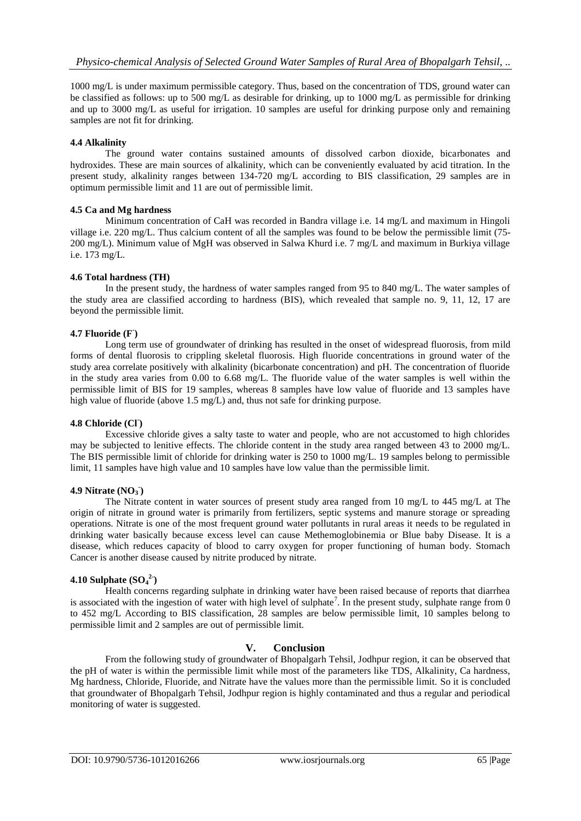1000 mg/L is under maximum permissible category. Thus, based on the concentration of TDS, ground water can be classified as follows: up to 500 mg/L as desirable for drinking, up to 1000 mg/L as permissible for drinking and up to 3000 mg/L as useful for irrigation. 10 samples are useful for drinking purpose only and remaining samples are not fit for drinking.

## **4.4 Alkalinity**

The ground water contains sustained amounts of dissolved carbon dioxide, bicarbonates and hydroxides. These are main sources of alkalinity, which can be conveniently evaluated by acid titration. In the present study, alkalinity ranges between 134-720 mg/L according to BIS classification, 29 samples are in optimum permissible limit and 11 are out of permissible limit.

# **4.5 Ca and Mg hardness**

Minimum concentration of CaH was recorded in Bandra village i.e. 14 mg/L and maximum in Hingoli village i.e. 220 mg/L. Thus calcium content of all the samples was found to be below the permissible limit (75- 200 mg/L). Minimum value of MgH was observed in Salwa Khurd i.e. 7 mg/L and maximum in Burkiya village i.e. 173 mg/L.

### **4.6 Total hardness (TH)**

In the present study, the hardness of water samples ranged from 95 to 840 mg/L. The water samples of the study area are classified according to hardness (BIS), which revealed that sample no. 9, 11, 12, 17 are beyond the permissible limit.

### **4.7 Fluoride (F- )**

Long term use of groundwater of drinking has resulted in the onset of widespread fluorosis, from mild forms of dental fluorosis to crippling skeletal fluorosis. High fluoride concentrations in ground water of the study area correlate positively with alkalinity (bicarbonate concentration) and pH. The concentration of fluoride in the study area varies from 0.00 to 6.68 mg/L. The fluoride value of the water samples is well within the permissible limit of BIS for 19 samples, whereas 8 samples have low value of fluoride and 13 samples have high value of fluoride (above 1.5 mg/L) and, thus not safe for drinking purpose.

#### **4.8 Chloride (Cl- )**

Excessive chloride gives a salty taste to water and people, who are not accustomed to high chlorides may be subjected to lenitive effects. The chloride content in the study area ranged between 43 to 2000 mg/L. The BIS permissible limit of chloride for drinking water is 250 to 1000 mg/L. 19 samples belong to permissible limit, 11 samples have high value and 10 samples have low value than the permissible limit.

# **4.9 Nitrate (NO<sup>3</sup> - )**

The Nitrate content in water sources of present study area ranged from 10 mg/L to 445 mg/L at The origin of nitrate in ground water is primarily from fertilizers, septic systems and manure storage or spreading operations. Nitrate is one of the most frequent ground water pollutants in rural areas it needs to be regulated in drinking water basically because excess level can cause Methemoglobinemia or Blue baby Disease. It is a disease, which reduces capacity of blood to carry oxygen for proper functioning of human body. Stomach Cancer is another disease caused by nitrite produced by nitrate.

# **4.10 Sulphate (SO<sup>4</sup> 2- )**

Health concerns regarding sulphate in drinking water have been raised because of reports that diarrhea is associated with the ingestion of water with high level of sulphate<sup>7</sup>. In the present study, sulphate range from 0 to 452 mg/L According to BIS classification, 28 samples are below permissible limit, 10 samples belong to permissible limit and 2 samples are out of permissible limit.

# **V. Conclusion**

From the following study of groundwater of Bhopalgarh Tehsil, Jodhpur region, it can be observed that the pH of water is within the permissible limit while most of the parameters like TDS, Alkalinity, Ca hardness, Mg hardness, Chloride, Fluoride, and Nitrate have the values more than the permissible limit. So it is concluded that groundwater of Bhopalgarh Tehsil, Jodhpur region is highly contaminated and thus a regular and periodical monitoring of water is suggested.